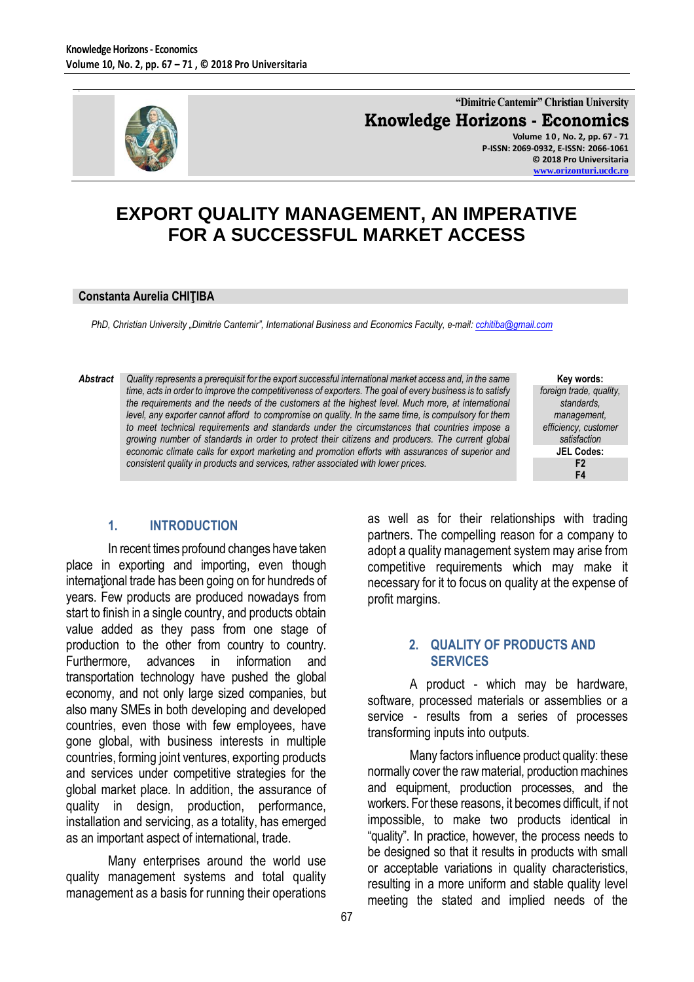

**"Dimitrie Cantemir" Christian University Knowledge Horizons - Economics Volume 1 0 , No. 2, pp. 67 - 71**

**P-ISSN: 2069-0932, E-ISSN: 2066-1061 © 2018 Pro Universitaria [www.orizonturi.ucdc.ro](http://www.orizonturi.ucdc.ro/)**

# **EXPORT QUALITY MANAGEMENT, AN IMPERATIVE FOR A SUCCESSFUL MARKET ACCESS**

#### **Constanta Aurelia CHIŢIBA**

*PhD, Christian University "Dimitrie Cantemir", International Business and Economics Faculty, e-mail[: cchitiba@gmail.com](mailto:cchitiba@gmail.com)*

*Abstract Quality represents a prerequisit for the export successful international market access and, in the same time, acts in order to improve the competitiveness of exporters. The goal of every business is to satisfy the requirements and the needs of the customers at the highest level. Much more, at international level, any exporter cannot afford to compromise on quality. In the same time, is compulsory for them to meet technical requirements and standards under the circumstances that countries impose a growing number of standards in order to protect their citizens and producers. The current global economic climate calls for export marketing and promotion efforts with assurances of superior and consistent quality in products and services, rather associated with lower prices.* 

**Key words:** *foreign trade, quality, standards, management, efficiency, customer satisfaction* **JEL Codes: F2 F4**

#### **1. INTRODUCTION**

In recent times profound changes have taken place in exporting and importing, even though international trade has been going on for hundreds of years. Few products are produced nowadays from start to finish in a single country, and products obtain value added as they pass from one stage of production to the other from country to country. Furthermore, advances in information and transportation technology have pushed the global economy, and not only large sized companies, but also many SMEs in both developing and developed countries, even those with few employees, have gone global, with business interests in multiple countries, forming joint ventures, exporting products and services under competitive strategies for the global market place. In addition, the assurance of quality in design, production, performance, installation and servicing, as a totality, has emerged as an important aspect of international, trade.

Many enterprises around the world use quality management systems and total quality management as a basis for running their operations as well as for their relationships with trading partners. The compelling reason for a company to adopt a quality management system may arise from competitive requirements which may make it necessary for it to focus on quality at the expense of profit margins.

#### **2. QUALITY OF PRODUCTS AND SERVICES**

A product - which may be hardware, software, processed materials or assemblies or a service - results from a series of processes transforming inputs into outputs.

Many factors influence product quality: these normally cover the raw material, production machines and equipment, production processes, and the workers. For these reasons, it becomes difficult, if not impossible, to make two products identical in "quality". In practice, however, the process needs to be designed so that it results in products with small or acceptable variations in quality characteristics, resulting in a more uniform and stable quality level meeting the stated and implied needs of the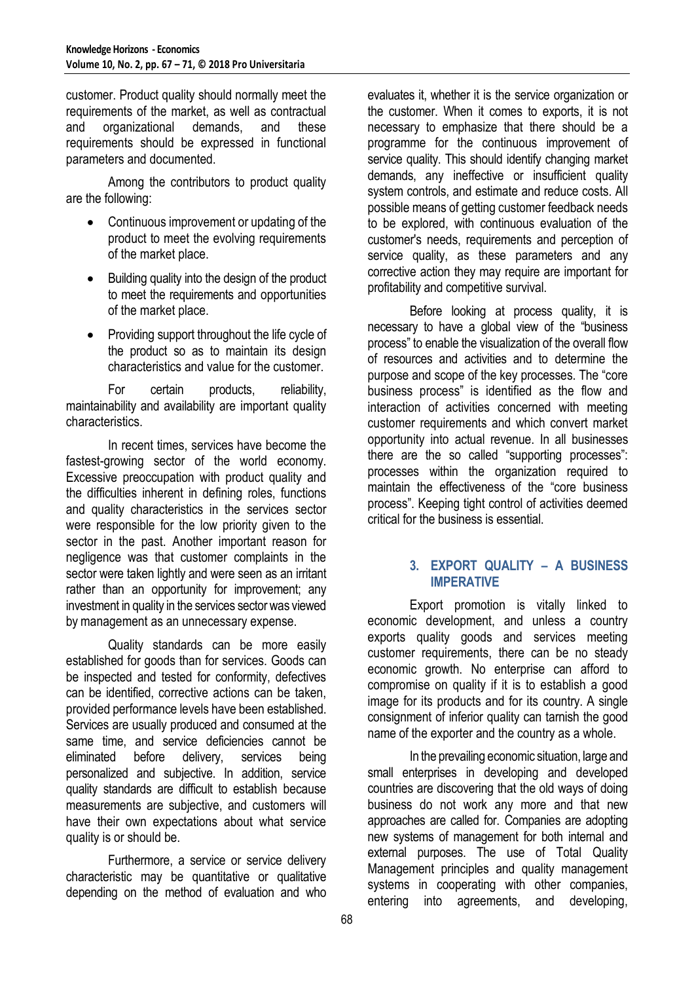customer. Product quality should normally meet the requirements of the market, as well as contractual and organizational demands, and these requirements should be expressed in functional parameters and documented.

Among the contributors to product quality are the following:

- Continuous improvement or updating of the product to meet the evolving requirements of the market place.
- Building quality into the design of the product to meet the requirements and opportunities of the market place.
- Providing support throughout the life cycle of the product so as to maintain its design characteristics and value for the customer.

For certain products, reliability, maintainability and availability are important quality characteristics.

In recent times, services have become the fastest-growing sector of the world economy. Excessive preoccupation with product quality and the difficulties inherent in defining roles, functions and quality characteristics in the services sector were responsible for the low priority given to the sector in the past. Another important reason for negligence was that customer complaints in the sector were taken lightly and were seen as an irritant rather than an opportunity for improvement; any investment in quality in the services sector was viewed by management as an unnecessary expense.

Quality standards can be more easily established for goods than for services. Goods can be inspected and tested for conformity, defectives can be identified, corrective actions can be taken, provided performance levels have been established. Services are usually produced and consumed at the same time, and service deficiencies cannot be eliminated before delivery, services being personalized and subjective. In addition, service quality standards are difficult to establish because measurements are subjective, and customers will have their own expectations about what service quality is or should be.

Furthermore, a service or service delivery characteristic may be quantitative or qualitative depending on the method of evaluation and who evaluates it, whether it is the service organization or the customer. When it comes to exports, it is not necessary to emphasize that there should be a programme for the continuous improvement of service quality. This should identify changing market demands, any ineffective or insufficient quality system controls, and estimate and reduce costs. All possible means of getting customer feedback needs to be explored, with continuous evaluation of the customer's needs, requirements and perception of service quality, as these parameters and any corrective action they may require are important for profitability and competitive survival.

Before looking at process quality, it is necessary to have a global view of the "business process" to enable the visualization of the overall flow of resources and activities and to determine the purpose and scope of the key processes. The "core business process" is identified as the flow and interaction of activities concerned with meeting customer requirements and which convert market opportunity into actual revenue. In all businesses there are the so called "supporting processes": processes within the organization required to maintain the effectiveness of the "core business process". Keeping tight control of activities deemed critical for the business is essential.

### **3. EXPORT QUALITY – A BUSINESS IMPERATIVE**

Export promotion is vitally linked to economic development, and unless a country exports quality goods and services meeting customer requirements, there can be no steady economic growth. No enterprise can afford to compromise on quality if it is to establish a good image for its products and for its country. A single consignment of inferior quality can tarnish the good name of the exporter and the country as a whole.

In the prevailing economic situation, large and small enterprises in developing and developed countries are discovering that the old ways of doing business do not work any more and that new approaches are called for. Companies are adopting new systems of management for both internal and external purposes. The use of Total Quality Management principles and quality management systems in cooperating with other companies, entering into agreements, and developing,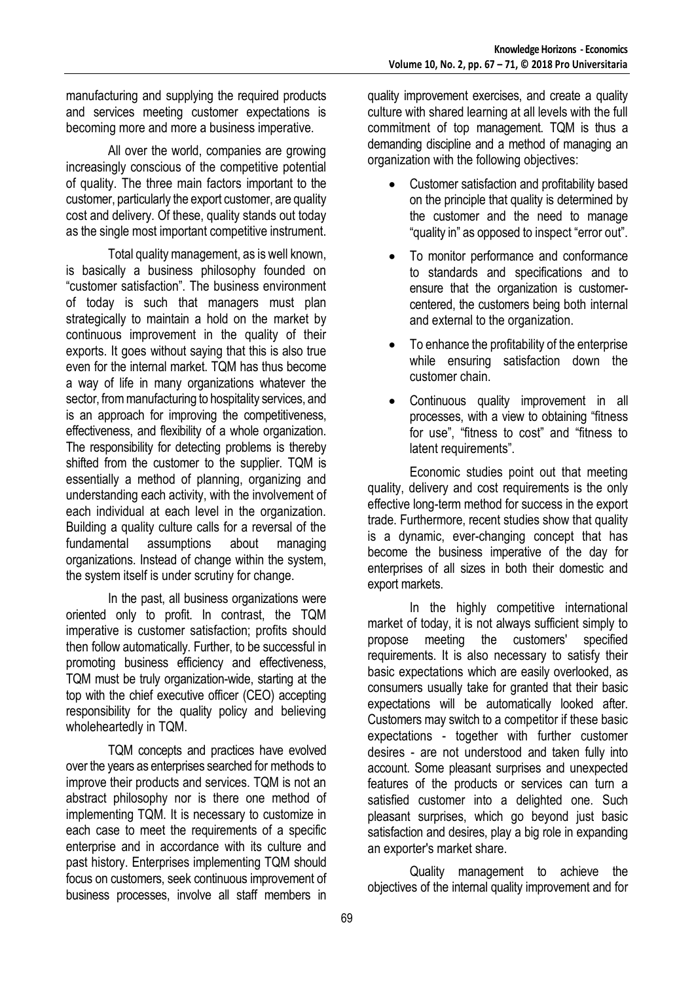manufacturing and supplying the required products and services meeting customer expectations is becoming more and more a business imperative.

All over the world, companies are growing increasingly conscious of the competitive potential of quality. The three main factors important to the customer, particularly the export customer, are quality cost and delivery. Of these, quality stands out today as the single most important competitive instrument.

Total quality management, as is well known, is basically a business philosophy founded on "customer satisfaction". The business environment of today is such that managers must plan strategically to maintain a hold on the market by continuous improvement in the quality of their exports. It goes without saying that this is also true even for the internal market. TOM has thus become a way of life in many organizations whatever the sector, from manufacturing to hospitality services, and is an approach for improving the competitiveness, effectiveness, and flexibility of a whole organization. The responsibility for detecting problems is thereby shifted from the customer to the supplier. TQM is essentially a method of planning, organizing and understanding each activity, with the involvement of each individual at each level in the organization. Building a quality culture calls for a reversal of the fundamental assumptions about managing organizations. Instead of change within the system, the system itself is under scrutiny for change.

In the past, all business organizations were oriented only to profit. In contrast, the TQM imperative is customer satisfaction; profits should then follow automatically. Further, to be successful in promoting business efficiency and effectiveness, TQM must be truly organization-wide, starting at the top with the chief executive officer (CEO) accepting responsibility for the quality policy and believing wholeheartedly in TQM.

TQM concepts and practices have evolved over the years as enterprises searched for methods to improve their products and services. TQM is not an abstract philosophy nor is there one method of implementing TQM. It is necessary to customize in each case to meet the requirements of a specific enterprise and in accordance with its culture and past history. Enterprises implementing TQM should focus on customers, seek continuous improvement of business processes, involve all staff members in

quality improvement exercises, and create a quality culture with shared learning at all levels with the full commitment of top management. TQM is thus a demanding discipline and a method of managing an organization with the following objectives:

- Customer satisfaction and profitability based on the principle that quality is determined by the customer and the need to manage "quality in" as opposed to inspect "error out".
- To monitor performance and conformance to standards and specifications and to ensure that the organization is customercentered, the customers being both internal and external to the organization.
- To enhance the profitability of the enterprise while ensuring satisfaction down the customer chain.
- Continuous quality improvement in all processes, with a view to obtaining "fitness for use", "fitness to cost" and "fitness to latent requirements".

Economic studies point out that meeting quality, delivery and cost requirements is the only effective long-term method for success in the export trade. Furthermore, recent studies show that quality is a dynamic, ever-changing concept that has become the business imperative of the day for enterprises of all sizes in both their domestic and export markets.

In the highly competitive international market of today, it is not always sufficient simply to propose meeting the customers' specified requirements. It is also necessary to satisfy their basic expectations which are easily overlooked, as consumers usually take for granted that their basic expectations will be automatically looked after. Customers may switch to a competitor if these basic expectations - together with further customer desires - are not understood and taken fully into account. Some pleasant surprises and unexpected features of the products or services can turn a satisfied customer into a delighted one. Such pleasant surprises, which go beyond just basic satisfaction and desires, play a big role in expanding an exporter's market share.

Quality management to achieve the objectives of the internal quality improvement and for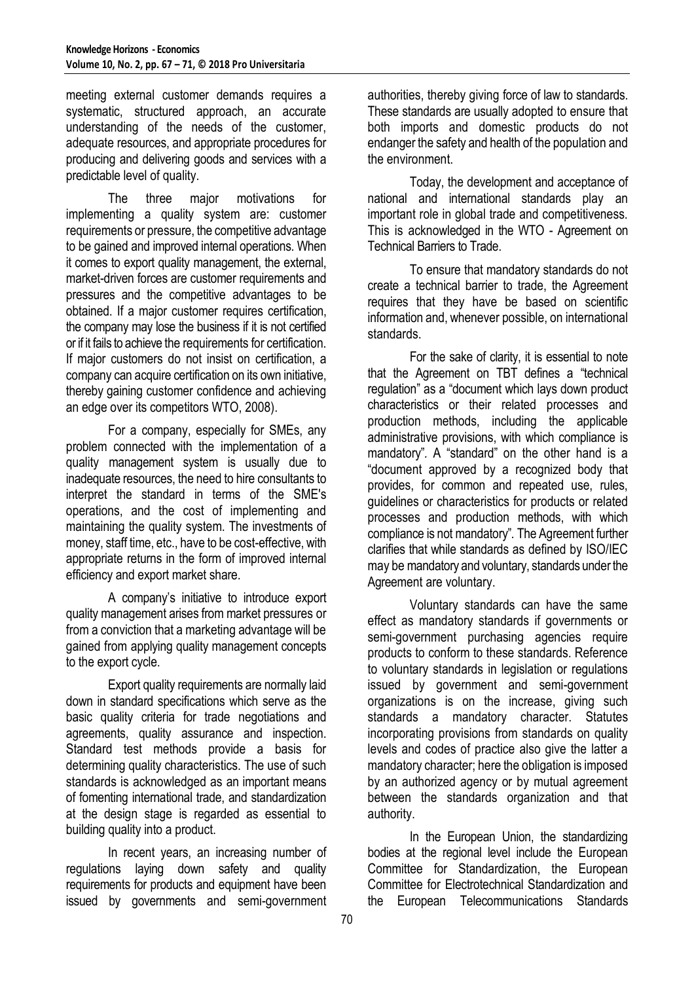meeting external customer demands requires a systematic, structured approach, an accurate understanding of the needs of the customer, adequate resources, and appropriate procedures for producing and delivering goods and services with a predictable level of quality.

The three major motivations for implementing a quality system are: customer requirements or pressure, the competitive advantage to be gained and improved internal operations. When it comes to export quality management, the external, market-driven forces are customer requirements and pressures and the competitive advantages to be obtained. If a major customer requires certification, the company may lose the business if it is not certified or if it fails to achieve the requirements for certification. If major customers do not insist on certification, a company can acquire certification on its own initiative, thereby gaining customer confidence and achieving an edge over its competitors WTO, 2008).

For a company, especially for SMEs, any problem connected with the implementation of a quality management system is usually due to inadequate resources, the need to hire consultants to interpret the standard in terms of the SME's operations, and the cost of implementing and maintaining the quality system. The investments of money, staff time, etc., have to be cost-effective, with appropriate returns in the form of improved internal efficiency and export market share.

A company's initiative to introduce export quality management arises from market pressures or from a conviction that a marketing advantage will be gained from applying quality management concepts to the export cycle.

Export quality requirements are normally laid down in standard specifications which serve as the basic quality criteria for trade negotiations and agreements, quality assurance and inspection. Standard test methods provide a basis for determining quality characteristics. The use of such standards is acknowledged as an important means of fomenting international trade, and standardization at the design stage is regarded as essential to building quality into a product.

In recent years, an increasing number of regulations laying down safety and quality requirements for products and equipment have been issued by governments and semi-government

authorities, thereby giving force of law to standards. These standards are usually adopted to ensure that both imports and domestic products do not endanger the safety and health of the population and the environment.

Today, the development and acceptance of national and international standards play an important role in global trade and competitiveness. This is acknowledged in the WTO - Agreement on Technical Barriers to Trade.

To ensure that mandatory standards do not create a technical barrier to trade, the Agreement requires that they have be based on scientific information and, whenever possible, on international standards.

For the sake of clarity, it is essential to note that the Agreement on TBT defines a "technical regulation" as a "document which lays down product characteristics or their related processes and production methods, including the applicable administrative provisions, with which compliance is mandatory"*.* A "standard" on the other hand is a "document approved by a recognized body that provides, for common and repeated use, rules, guidelines or characteristics for products or related processes and production methods, with which compliance is not mandatory"*.* The Agreement further clarifies that while standards as defined by ISO/IEC may be mandatory and voluntary, standards under the Agreement are voluntary.

Voluntary standards can have the same effect as mandatory standards if governments or semi-government purchasing agencies require products to conform to these standards. Reference to voluntary standards in legislation or regulations issued by government and semi-government organizations is on the increase, giving such standards a mandatory character. Statutes incorporating provisions from standards on quality levels and codes of practice also give the latter a mandatory character; here the obligation is imposed by an authorized agency or by mutual agreement between the standards organization and that authority.

In the European Union, the standardizing bodies at the regional level include the European Committee for Standardization, the European Committee for Electrotechnical Standardization and the European Telecommunications Standards